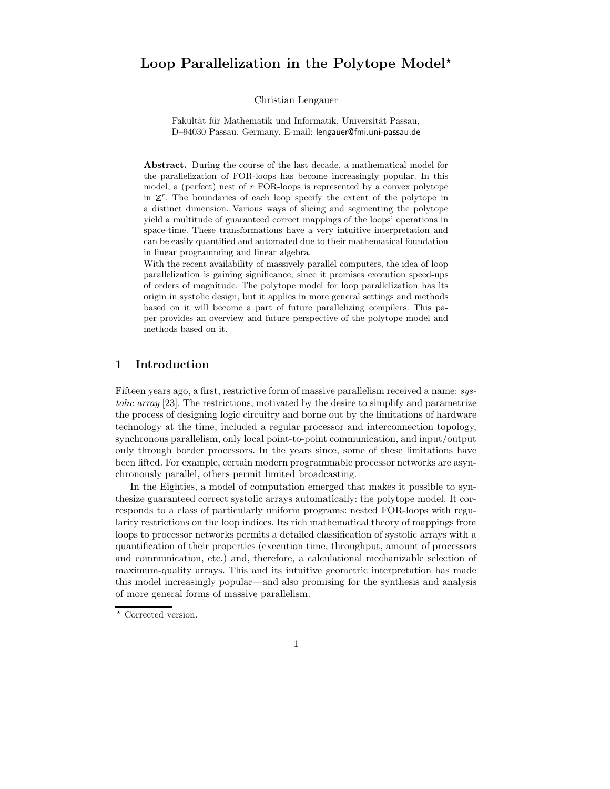# Loop Parallelization in the Polytope Model\*

Christian Lengauer

Fakultät für Mathematik und Informatik, Universität Passau, D–94030 Passau, Germany. E-mail: lengauer@fmi.uni-passau.de

Abstract. During the course of the last decade, a mathematical model for the parallelization of FOR-loops has become increasingly popular. In this model, a (perfect) nest of  $r$  FOR-loops is represented by a convex polytope in  $\mathbb{Z}^r$ . The boundaries of each loop specify the extent of the polytope in a distinct dimension. Various ways of slicing and segmenting the polytope yield a multitude of guaranteed correct mappings of the loops' operations in space-time. These transformations have a very intuitive interpretation and can be easily quantified and automated due to their mathematical foundation in linear programming and linear algebra.

With the recent availability of massively parallel computers, the idea of loop parallelization is gaining significance, since it promises execution speed-ups of orders of magnitude. The polytope model for loop parallelization has its origin in systolic design, but it applies in more general settings and methods based on it will become a part of future parallelizing compilers. This paper provides an overview and future perspective of the polytope model and methods based on it.

## 1 Introduction

Fifteen years ago, a first, restrictive form of massive parallelism received a name: systolic array [23]. The restrictions, motivated by the desire to simplify and parametrize the process of designing logic circuitry and borne out by the limitations of hardware technology at the time, included a regular processor and interconnection topology, synchronous parallelism, only local point-to-point communication, and input/output only through border processors. In the years since, some of these limitations have been lifted. For example, certain modern programmable processor networks are asynchronously parallel, others permit limited broadcasting.

In the Eighties, a model of computation emerged that makes it possible to synthesize guaranteed correct systolic arrays automatically: the polytope model. It corresponds to a class of particularly uniform programs: nested FOR-loops with regularity restrictions on the loop indices. Its rich mathematical theory of mappings from loops to processor networks permits a detailed classification of systolic arrays with a quantification of their properties (execution time, throughput, amount of processors and communication, etc.) and, therefore, a calculational mechanizable selection of maximum-quality arrays. This and its intuitive geometric interpretation has made this model increasingly popular—and also promising for the synthesis and analysis of more general forms of massive parallelism.

Corrected version.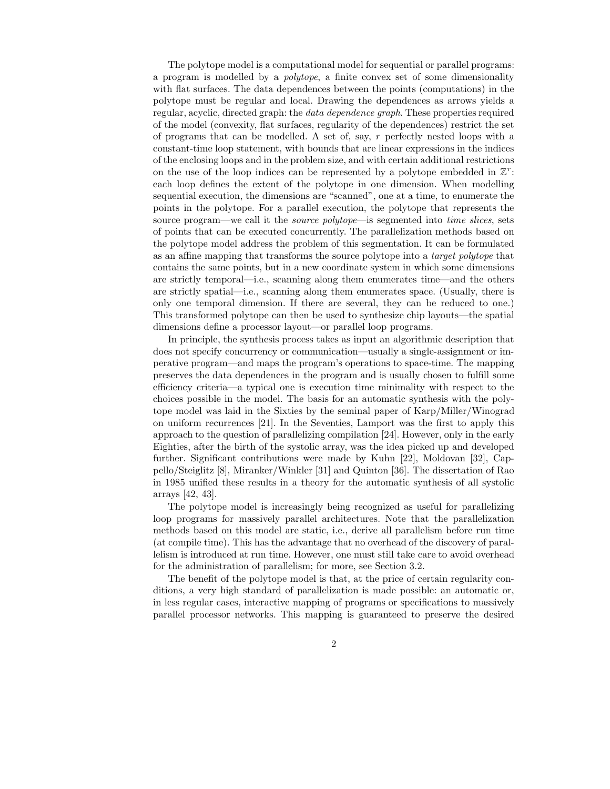The polytope model is a computational model for sequential or parallel programs: a program is modelled by a polytope, a finite convex set of some dimensionality with flat surfaces. The data dependences between the points (computations) in the polytope must be regular and local. Drawing the dependences as arrows yields a regular, acyclic, directed graph: the data dependence graph. These properties required of the model (convexity, flat surfaces, regularity of the dependences) restrict the set of programs that can be modelled. A set of, say,  $r$  perfectly nested loops with a constant-time loop statement, with bounds that are linear expressions in the indices of the enclosing loops and in the problem size, and with certain additional restrictions on the use of the loop indices can be represented by a polytope embedded in  $\mathbb{Z}^r$ : each loop defines the extent of the polytope in one dimension. When modelling sequential execution, the dimensions are "scanned", one at a time, to enumerate the points in the polytope. For a parallel execution, the polytope that represents the source program—we call it the *source polytope*—is segmented into *time slices*, sets of points that can be executed concurrently. The parallelization methods based on the polytope model address the problem of this segmentation. It can be formulated as an affine mapping that transforms the source polytope into a target polytope that contains the same points, but in a new coordinate system in which some dimensions are strictly temporal—i.e., scanning along them enumerates time—and the others are strictly spatial—i.e., scanning along them enumerates space. (Usually, there is only one temporal dimension. If there are several, they can be reduced to one.) This transformed polytope can then be used to synthesize chip layouts—the spatial dimensions define a processor layout—or parallel loop programs.

In principle, the synthesis process takes as input an algorithmic description that does not specify concurrency or communication—usually a single-assignment or imperative program—and maps the program's operations to space-time. The mapping preserves the data dependences in the program and is usually chosen to fulfill some efficiency criteria—a typical one is execution time minimality with respect to the choices possible in the model. The basis for an automatic synthesis with the polytope model was laid in the Sixties by the seminal paper of Karp/Miller/Winograd on uniform recurrences [21]. In the Seventies, Lamport was the first to apply this approach to the question of parallelizing compilation [24]. However, only in the early Eighties, after the birth of the systolic array, was the idea picked up and developed further. Significant contributions were made by Kuhn [22], Moldovan [32], Cappello/Steiglitz [8], Miranker/Winkler [31] and Quinton [36]. The dissertation of Rao in 1985 unified these results in a theory for the automatic synthesis of all systolic arrays [42, 43].

The polytope model is increasingly being recognized as useful for parallelizing loop programs for massively parallel architectures. Note that the parallelization methods based on this model are static, i.e., derive all parallelism before run time (at compile time). This has the advantage that no overhead of the discovery of parallelism is introduced at run time. However, one must still take care to avoid overhead for the administration of parallelism; for more, see Section 3.2.

The benefit of the polytope model is that, at the price of certain regularity conditions, a very high standard of parallelization is made possible: an automatic or, in less regular cases, interactive mapping of programs or specifications to massively parallel processor networks. This mapping is guaranteed to preserve the desired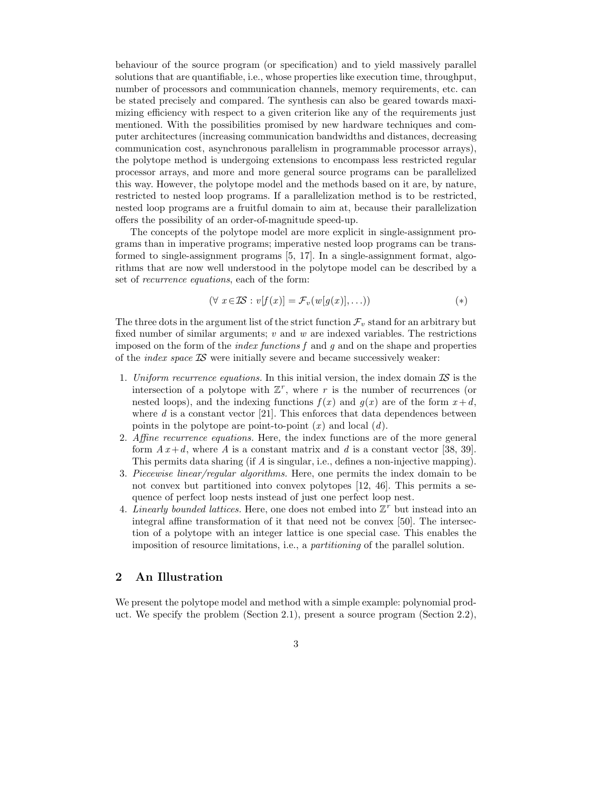behaviour of the source program (or specification) and to yield massively parallel solutions that are quantifiable, i.e., whose properties like execution time, throughput, number of processors and communication channels, memory requirements, etc. can be stated precisely and compared. The synthesis can also be geared towards maximizing efficiency with respect to a given criterion like any of the requirements just mentioned. With the possibilities promised by new hardware techniques and computer architectures (increasing communication bandwidths and distances, decreasing communication cost, asynchronous parallelism in programmable processor arrays), the polytope method is undergoing extensions to encompass less restricted regular processor arrays, and more and more general source programs can be parallelized this way. However, the polytope model and the methods based on it are, by nature, restricted to nested loop programs. If a parallelization method is to be restricted, nested loop programs are a fruitful domain to aim at, because their parallelization offers the possibility of an order-of-magnitude speed-up.

The concepts of the polytope model are more explicit in single-assignment programs than in imperative programs; imperative nested loop programs can be transformed to single-assignment programs [5, 17]. In a single-assignment format, algorithms that are now well understood in the polytope model can be described by a set of recurrence equations, each of the form:

$$
(\forall x \in \mathcal{IS} : v[f(x)] = \mathcal{F}_v(w[g(x)], \ldots))
$$
\n
$$
(*)
$$

The three dots in the argument list of the strict function  $\mathcal{F}_v$  stand for an arbitrary but fixed number of similar arguments;  $v$  and  $w$  are indexed variables. The restrictions imposed on the form of the *index functions*  $f$  and  $g$  and on the shape and properties of the *index space*  $\mathcal{IS}$  were initially severe and became successively weaker:

- 1. Uniform recurrence equations. In this initial version, the index domain  $\mathcal{IS}$  is the intersection of a polytope with  $\mathbb{Z}^r$ , where r is the number of recurrences (or nested loops), and the indexing functions  $f(x)$  and  $g(x)$  are of the form  $x+d$ , where  $d$  is a constant vector [21]. This enforces that data dependences between points in the polytope are point-to-point  $(x)$  and local  $(d)$ .
- 2. Affine recurrence equations. Here, the index functions are of the more general form  $A x + d$ , where A is a constant matrix and d is a constant vector [38, 39]. This permits data sharing (if A is singular, i.e., defines a non-injective mapping).
- 3. Piecewise linear/regular algorithms. Here, one permits the index domain to be not convex but partitioned into convex polytopes [12, 46]. This permits a sequence of perfect loop nests instead of just one perfect loop nest.
- 4. Linearly bounded lattices. Here, one does not embed into  $\mathbb{Z}^r$  but instead into an integral affine transformation of it that need not be convex [50]. The intersection of a polytope with an integer lattice is one special case. This enables the imposition of resource limitations, i.e., a partitioning of the parallel solution.

## 2 An Illustration

We present the polytope model and method with a simple example: polynomial product. We specify the problem (Section 2.1), present a source program (Section 2.2),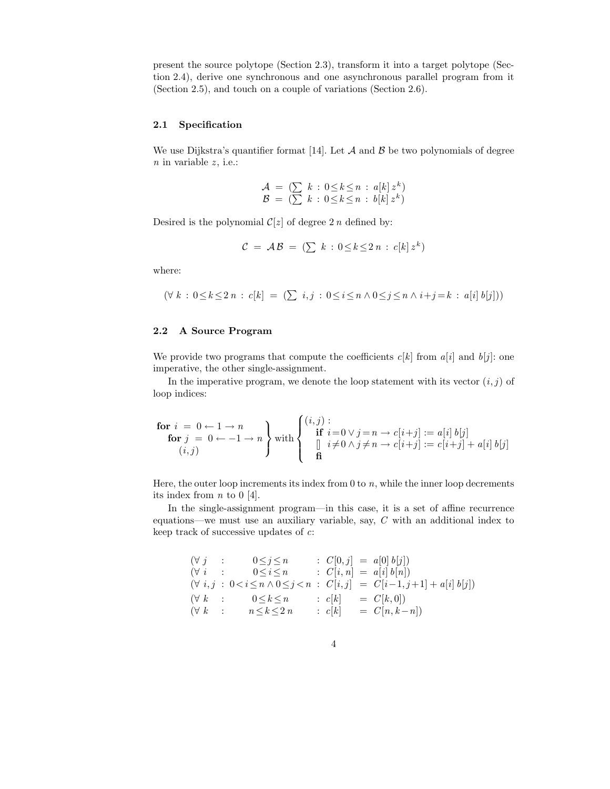present the source polytope (Section 2.3), transform it into a target polytope (Section 2.4), derive one synchronous and one asynchronous parallel program from it (Section 2.5), and touch on a couple of variations (Section 2.6).

## 2.1 Specification

We use Dijkstra's quantifier format [14]. Let  $A$  and  $B$  be two polynomials of degree  $n$  in variable  $z$ , i.e.:

$$
\begin{array}{l}\n\mathcal{A} = \left( \sum k : 0 \le k \le n : a[k] z^k \right) \\
\mathcal{B} = \left( \sum k : 0 \le k \le n : b[k] z^k \right)\n\end{array}
$$

Desired is the polynomial  $\mathcal{C}[z]$  of degree 2 n defined by:

$$
\mathcal{C} = \mathcal{AB} = (\sum k : 0 \le k \le 2 n : c[k] z^k)
$$

where:

$$
(\forall k : 0 \le k \le 2 n : c[k] = (\sum i, j : 0 \le i \le n \land 0 \le j \le n \land i+j=k : a[i] b[j]))
$$

#### 2.2 A Source Program

We provide two programs that compute the coefficients  $c[k]$  from  $a[i]$  and  $b[j]$ : one imperative, the other single-assignment.

In the imperative program, we denote the loop statement with its vector  $(i, j)$  of loop indices:

$$
\begin{array}{ll}\n\textbf{for } i = 0 \leftarrow 1 \rightarrow n \\
\textbf{for } j = 0 \leftarrow -1 \rightarrow n \\
(i, j)\n\end{array}\n\right\} \text{with} \n\begin{cases}\n(i, j) : \\
\textbf{if } i = 0 \lor j = n \rightarrow c[i + j] := a[i] b[j] \\
\downarrow \quad i \neq 0 \land j \neq n \rightarrow c[i + j] := c[i + j] + a[i] b[j]\n\end{cases}
$$

Here, the outer loop increments its index from 0 to  $n$ , while the inner loop decrements its index from  $n$  to 0 [4].

In the single-assignment program—in this case, it is a set of affine recurrence equations—we must use an auxiliary variable, say, C with an additional index to keep track of successive updates of  $c$ :

$$
\begin{array}{rcl}\n(\forall j & : & 0 \leq j \leq n & : & C[0,j] = a[0] \ b[j]) \\
(\forall i & : & 0 \leq i \leq n & : & C[i,n] = a[i] \ b[n]) \\
(\forall i, j & : & 0 < i \leq n \land 0 \leq j < n & : & C[i,j] = C[i-1,j+1] + a[i] \ b[j]) \\
(\forall k & : & 0 \leq k \leq n & : & c[k] = C[k,0]) \\
(\forall k & : & n \leq k \leq 2 \ n & : & c[k] = C[n,k-n])\n\end{array}
$$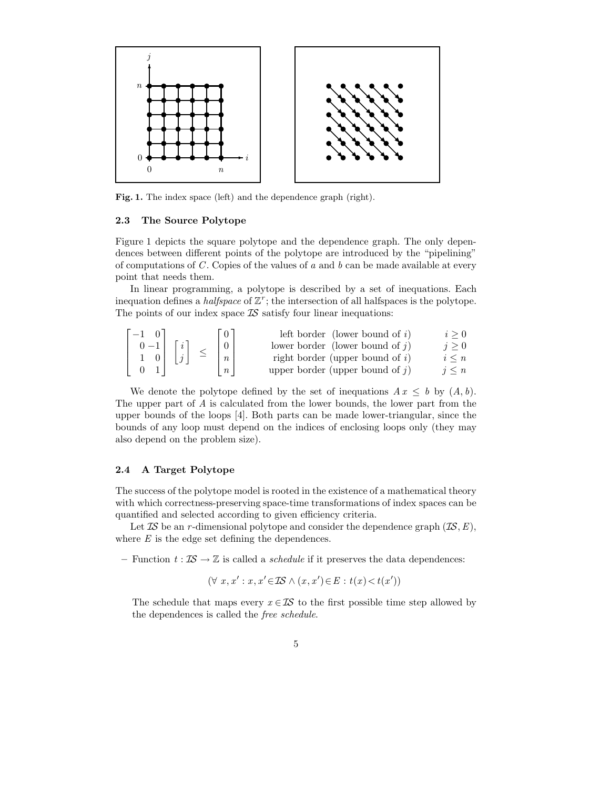

Fig. 1. The index space (left) and the dependence graph (right).

#### 2.3 The Source Polytope

Figure 1 depicts the square polytope and the dependence graph. The only dependences between different points of the polytope are introduced by the "pipelining" of computations of C. Copies of the values of a and b can be made available at every point that needs them.

In linear programming, a polytope is described by a set of inequations. Each inequation defines a *halfspace* of  $\mathbb{Z}^r$ ; the intersection of all halfspaces is the polytope. The points of our index space  $\mathcal{IS}$  satisfy four linear inequations:

|                | $\overline{0}$   | left border (lower bound of $i$ )  | $i \geq 0$ |
|----------------|------------------|------------------------------------|------------|
| $0-1$          |                  | lower border (lower bound of $j$ ) | $j\geq 0$  |
| $1 \quad 0 \}$ | $\boldsymbol{n}$ | right border (upper bound of $i$ ) | $i \leq n$ |
|                | $n^{\prime}$     | upper border (upper bound of $j$ ) | $j \leq n$ |

We denote the polytope defined by the set of inequations  $Ax \leq b$  by  $(A, b)$ . The upper part of A is calculated from the lower bounds, the lower part from the upper bounds of the loops [4]. Both parts can be made lower-triangular, since the bounds of any loop must depend on the indices of enclosing loops only (they may also depend on the problem size).

### 2.4 A Target Polytope

The success of the polytope model is rooted in the existence of a mathematical theory with which correctness-preserving space-time transformations of index spaces can be quantified and selected according to given efficiency criteria.

Let  $\mathcal{IS}$  be an r-dimensional polytope and consider the dependence graph  $(\mathcal{IS}, E)$ , where  $E$  is the edge set defining the dependences.

– Function  $t : \mathcal{IS} \to \mathbb{Z}$  is called a *schedule* if it preserves the data dependences:

$$
(\forall x, x' : x, x' \in \mathcal{IS} \land (x, x') \in E : t(x) < t(x'))
$$

The schedule that maps every  $x \in \mathcal{IS}$  to the first possible time step allowed by the dependences is called the free schedule.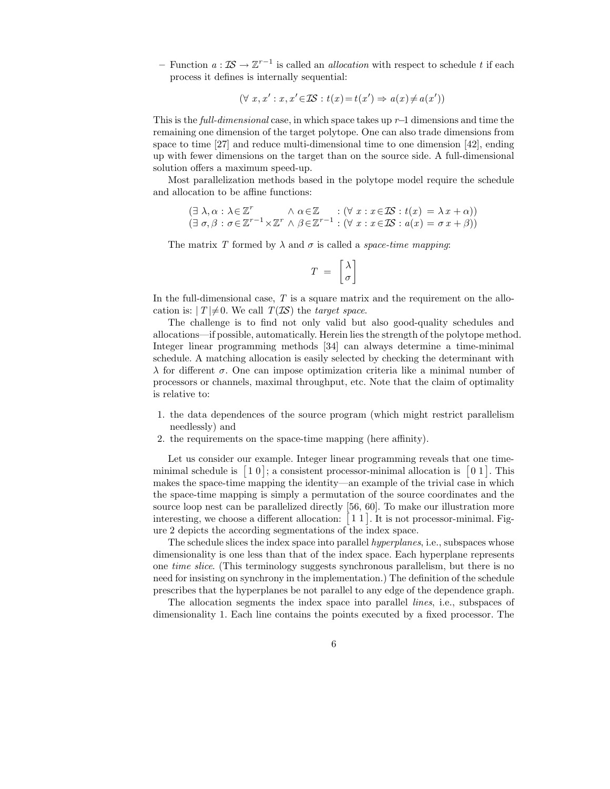$-$  Function  $a: \mathcal{IS} \to \mathbb{Z}^{r-1}$  is called an *allocation* with respect to schedule t if each process it defines is internally sequential:

$$
(\forall x, x' : x, x' \in \mathcal{IS} : t(x) = t(x') \Rightarrow a(x) \neq a(x'))
$$

This is the *full-dimensional* case, in which space takes up  $r-1$  dimensions and time the remaining one dimension of the target polytope. One can also trade dimensions from space to time [27] and reduce multi-dimensional time to one dimension [42], ending up with fewer dimensions on the target than on the source side. A full-dimensional solution offers a maximum speed-up.

Most parallelization methods based in the polytope model require the schedule and allocation to be affine functions:

$$
(\exists \lambda, \alpha : \lambda \in \mathbb{Z}^r \land \alpha \in \mathbb{Z} \quad : (\forall \ x : x \in \mathcal{IS} : t(x) = \lambda \ x + \alpha))
$$
  

$$
(\exists \ \sigma, \beta : \sigma \in \mathbb{Z}^{r-1} \times \mathbb{Z}^r \land \beta \in \mathbb{Z}^{r-1} : (\forall \ x : x \in \mathcal{IS} : a(x) = \sigma \ x + \beta))
$$

The matrix T formed by  $\lambda$  and  $\sigma$  is called a *space-time mapping*:

$$
T = \begin{bmatrix} \lambda \\ \sigma \end{bmatrix}
$$

In the full-dimensional case, T is a square matrix and the requirement on the allocation is:  $|T| \neq 0$ . We call  $T(\mathcal{IS})$  the target space.

The challenge is to find not only valid but also good-quality schedules and allocations—if possible, automatically. Herein lies the strength of the polytope method. Integer linear programming methods [34] can always determine a time-minimal schedule. A matching allocation is easily selected by checking the determinant with λ for different σ. One can impose optimization criteria like a minimal number of processors or channels, maximal throughput, etc. Note that the claim of optimality is relative to:

- 1. the data dependences of the source program (which might restrict parallelism needlessly) and
- 2. the requirements on the space-time mapping (here affinity).

Let us consider our example. Integer linear programming reveals that one timeminimal schedule is  $\lceil 10 \rceil$ ; a consistent processor-minimal allocation is  $\lceil 01 \rceil$ . This makes the space-time mapping the identity—an example of the trivial case in which the space-time mapping is simply a permutation of the source coordinates and the source loop nest can be parallelized directly [56, 60]. To make our illustration more interesting, we choose a different allocation:  $\lceil 1 \rceil$ . It is not processor-minimal. Figure 2 depicts the according segmentations of the index space.

The schedule slices the index space into parallel *hyperplanes*, i.e., subspaces whose dimensionality is one less than that of the index space. Each hyperplane represents one time slice. (This terminology suggests synchronous parallelism, but there is no need for insisting on synchrony in the implementation.) The definition of the schedule prescribes that the hyperplanes be not parallel to any edge of the dependence graph.

The allocation segments the index space into parallel *lines*, i.e., subspaces of dimensionality 1. Each line contains the points executed by a fixed processor. The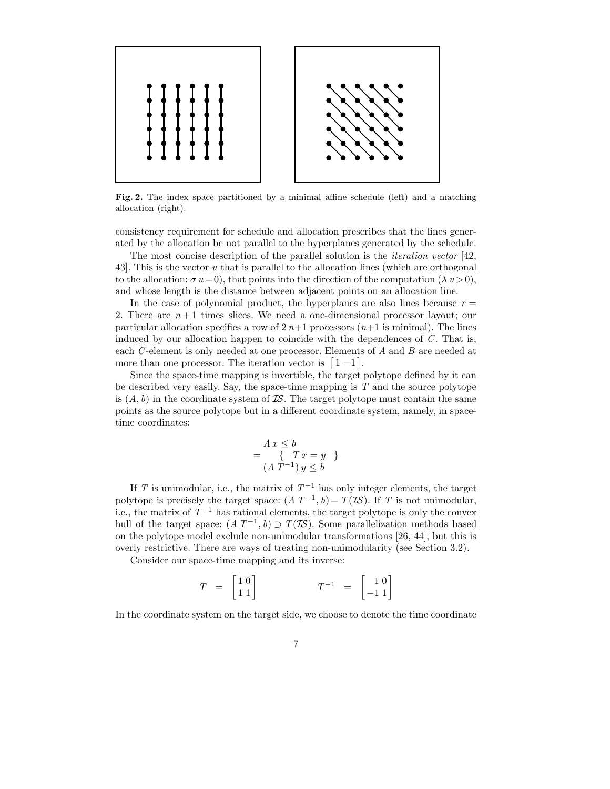

Fig. 2. The index space partitioned by a minimal affine schedule (left) and a matching allocation (right).

consistency requirement for schedule and allocation prescribes that the lines generated by the allocation be not parallel to the hyperplanes generated by the schedule.

The most concise description of the parallel solution is the *iteration vector* [42, 43. This is the vector  $u$  that is parallel to the allocation lines (which are orthogonal to the allocation:  $\sigma u = 0$ , that points into the direction of the computation  $(\lambda u > 0)$ , and whose length is the distance between adjacent points on an allocation line.

In the case of polynomial product, the hyperplanes are also lines because  $r =$ 2. There are  $n+1$  times slices. We need a one-dimensional processor layout; our particular allocation specifies a row of  $2 n+1$  processors  $(n+1)$  is minimal). The lines induced by our allocation happen to coincide with the dependences of  $C$ . That is, each C-element is only needed at one processor. Elements of A and B are needed at more than one processor. The iteration vector is  $\lceil 1 - 1 \rceil$ .

Since the space-time mapping is invertible, the target polytope defined by it can be described very easily. Say, the space-time mapping is  $T$  and the source polytope is  $(A, b)$  in the coordinate system of IS. The target polytope must contain the same points as the source polytope but in a different coordinate system, namely, in spacetime coordinates:

$$
A x \leq b
$$
  
= { $T x = y$   
 $(A T^{-1}) y \leq b$ 

If T is unimodular, i.e., the matrix of  $T^{-1}$  has only integer elements, the target polytope is precisely the target space:  $(A T^{-1}, b) = T(\mathcal{IS})$ . If T is not unimodular, i.e., the matrix of  $T^{-1}$  has rational elements, the target polytope is only the convex hull of the target space:  $(A T^{-1}, b) \supset T(\mathcal{IS})$ . Some parallelization methods based on the polytope model exclude non-unimodular transformations [26, 44], but this is overly restrictive. There are ways of treating non-unimodularity (see Section 3.2).

Consider our space-time mapping and its inverse:

$$
T = \begin{bmatrix} 1 & 0 \\ 1 & 1 \end{bmatrix} \qquad T^{-1} = \begin{bmatrix} 1 & 0 \\ -1 & 1 \end{bmatrix}
$$

In the coordinate system on the target side, we choose to denote the time coordinate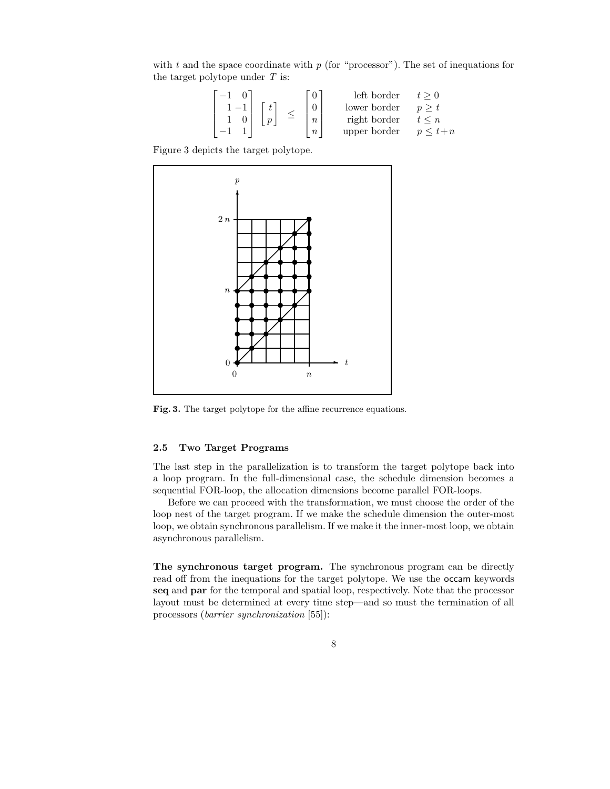with t and the space coordinate with  $p$  (for "processor"). The set of inequations for the target polytope under  $T$  is:

|                     |            | left border  |              |
|---------------------|------------|--------------|--------------|
|                     |            | lower border |              |
| $\boldsymbol{\eta}$ | $\, n$     | right border | $t \leq n$   |
|                     | $n_{\rm }$ | upper border | $p \leq t+n$ |

Figure 3 depicts the target polytope.



Fig. 3. The target polytope for the affine recurrence equations.

### 2.5 Two Target Programs

The last step in the parallelization is to transform the target polytope back into a loop program. In the full-dimensional case, the schedule dimension becomes a sequential FOR-loop, the allocation dimensions become parallel FOR-loops.

Before we can proceed with the transformation, we must choose the order of the loop nest of the target program. If we make the schedule dimension the outer-most loop, we obtain synchronous parallelism. If we make it the inner-most loop, we obtain asynchronous parallelism.

The synchronous target program. The synchronous program can be directly read off from the inequations for the target polytope. We use the occam keywords seq and par for the temporal and spatial loop, respectively. Note that the processor layout must be determined at every time step—and so must the termination of all processors (barrier synchronization [55]):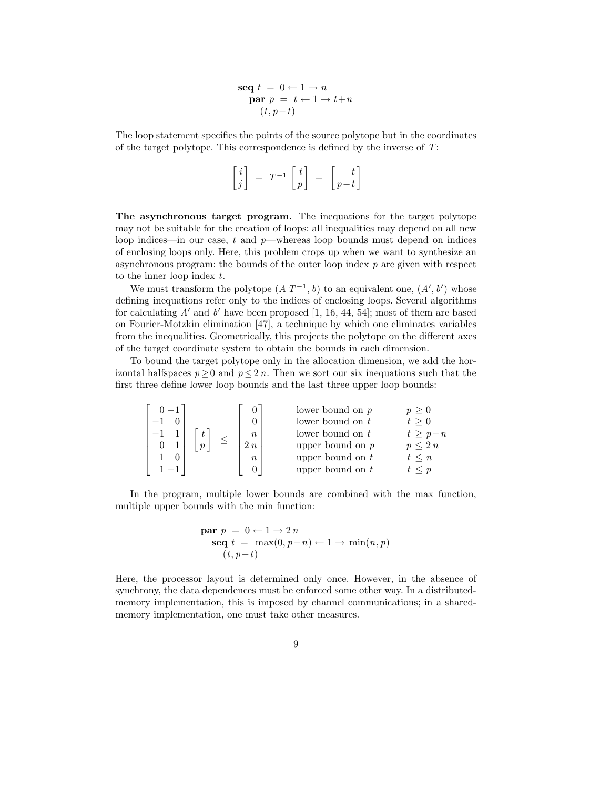$$
\begin{array}{l}\n\text{seq } t = 0 \leftarrow 1 \rightarrow n \\
\text{par } p = t \leftarrow 1 \rightarrow t + n \\
(t, p - t)\n\end{array}
$$

The loop statement specifies the points of the source polytope but in the coordinates of the target polytope. This correspondence is defined by the inverse of T:

$$
\begin{bmatrix} i \\ j \end{bmatrix} = T^{-1} \begin{bmatrix} t \\ p \end{bmatrix} = \begin{bmatrix} t \\ p-t \end{bmatrix}
$$

The asynchronous target program. The inequations for the target polytope may not be suitable for the creation of loops: all inequalities may depend on all new loop indices—in our case,  $t$  and  $p$ —whereas loop bounds must depend on indices of enclosing loops only. Here, this problem crops up when we want to synthesize an asynchronous program: the bounds of the outer loop index  $p$  are given with respect to the inner loop index t.

We must transform the polytope  $(A T^{-1}, b)$  to an equivalent one,  $(A', b')$  whose defining inequations refer only to the indices of enclosing loops. Several algorithms for calculating  $A'$  and  $b'$  have been proposed [1, 16, 44, 54]; most of them are based on Fourier-Motzkin elimination [47], a technique by which one eliminates variables from the inequalities. Geometrically, this projects the polytope on the different axes of the target coordinate system to obtain the bounds in each dimension.

To bound the target polytope only in the allocation dimension, we add the horizontal halfspaces  $p \ge 0$  and  $p \le 2n$ . Then we sort our six inequations such that the first three define lower loop bounds and the last three upper loop bounds:

|  | $\boldsymbol{v}$ |                  | lower bound on $p$ | p > 0              |
|--|------------------|------------------|--------------------|--------------------|
|  |                  |                  | lower bound on $t$ | t > 0              |
|  |                  | $\it{n}$         | lower bound on $t$ | $t \geq p-n$       |
|  |                  | 2n               | upper bound on $p$ | $p \leq 2n$        |
|  |                  | $\boldsymbol{n}$ | upper bound on $t$ | $t\leq n$          |
|  |                  |                  | upper bound on $t$ | $\tau$ $<$ $\,p\,$ |

In the program, multiple lower bounds are combined with the max function, multiple upper bounds with the min function:

$$
\begin{array}{l}\n\mathbf{par}\ p = 0 \leftarrow 1 \rightarrow 2\ n \\
\mathbf{seq}\ t = \max(0, p-n) \leftarrow 1 \rightarrow \min(n, p) \\
(t, p-t)\n\end{array}
$$

Here, the processor layout is determined only once. However, in the absence of synchrony, the data dependences must be enforced some other way. In a distributedmemory implementation, this is imposed by channel communications; in a sharedmemory implementation, one must take other measures.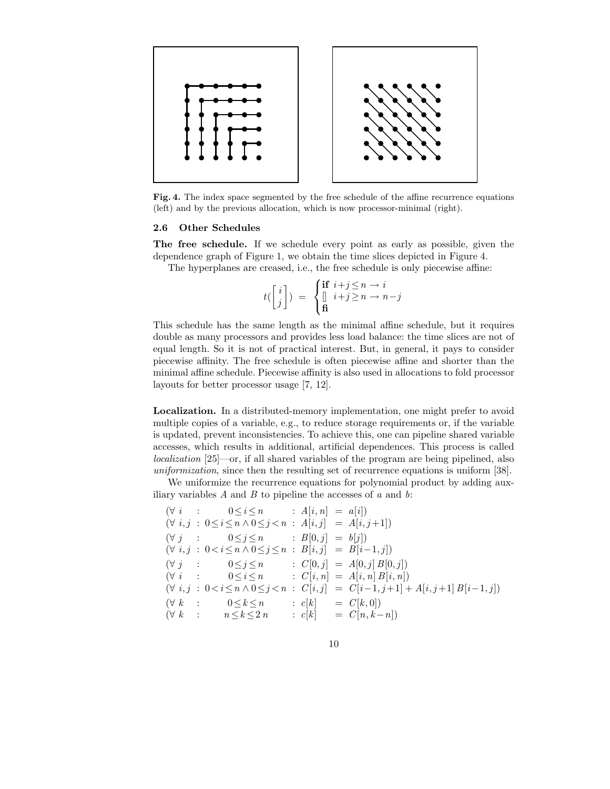

Fig. 4. The index space segmented by the free schedule of the affine recurrence equations (left) and by the previous allocation, which is now processor-minimal (right).

#### 2.6 Other Schedules

The free schedule. If we schedule every point as early as possible, given the dependence graph of Figure 1, we obtain the time slices depicted in Figure 4.

The hyperplanes are creased, i.e., the free schedule is only piecewise affine:

$$
t\begin{pmatrix} i \\ j \end{pmatrix} = \begin{cases} \text{if } i+j \leq n \rightarrow i \\ \prod_{j=1}^{n} i+j \geq n \rightarrow n-j \\ \text{fi} \end{cases}
$$

This schedule has the same length as the minimal affine schedule, but it requires double as many processors and provides less load balance: the time slices are not of equal length. So it is not of practical interest. But, in general, it pays to consider piecewise affinity. The free schedule is often piecewise affine and shorter than the minimal affine schedule. Piecewise affinity is also used in allocations to fold processor layouts for better processor usage [7, 12].

Localization. In a distributed-memory implementation, one might prefer to avoid multiple copies of a variable, e.g., to reduce storage requirements or, if the variable is updated, prevent inconsistencies. To achieve this, one can pipeline shared variable accesses, which results in additional, artificial dependences. This process is called localization [25]—or, if all shared variables of the program are being pipelined, also uniformization, since then the resulting set of recurrence equations is uniform [38].

We uniformize the recurrence equations for polynomial product by adding auxiliary variables  $A$  and  $B$  to pipeline the accesses of  $a$  and  $b$ :

$$
(\forall i : 0 \le i \le n : A[i, n] = a[i])
$$
  
\n
$$
(\forall i, j : 0 \le i \le n \land 0 \le j < n : A[i, j] = A[i, j+1])
$$
  
\n
$$
(\forall j : 0 \le j \le n : B[0, j] = b[j])
$$
  
\n
$$
(\forall i, j : 0 < i \le n \land 0 \le j \le n : B[i, j] = B[i-1, j])
$$
  
\n
$$
(\forall j : 0 \le j \le n : C[0, j] = A[0, j] B[0, j])
$$
  
\n
$$
(\forall i : 0 \le i \le n : C[i, n] = A[i, n] B[i, n])
$$
  
\n
$$
(\forall i, j : 0 < i \le n \land 0 \le j < n : C[i, j] = C[i-1, j+1] + A[i, j+1] B[i-1, j])
$$
  
\n
$$
(\forall k : 0 \le k \le n : c[k] = C[k, 0])
$$
  
\n
$$
(\forall k : n \le k \le 2n : c[k] = C[n, k-n])
$$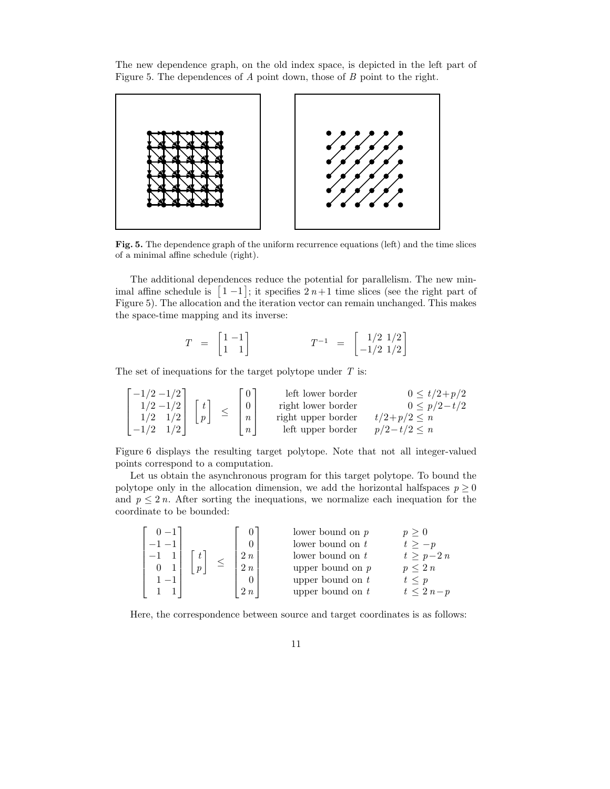The new dependence graph, on the old index space, is depicted in the left part of Figure 5. The dependences of A point down, those of B point to the right.



Fig. 5. The dependence graph of the uniform recurrence equations (left) and the time slices of a minimal affine schedule (right).

The additional dependences reduce the potential for parallelism. The new minimal affine schedule is  $\lceil 1 - 1 \rceil$ ; it specifies  $2n + 1$  time slices (see the right part of Figure 5). The allocation and the iteration vector can remain unchanged. This makes the space-time mapping and its inverse:

$$
T = \begin{bmatrix} 1 & -1 \\ 1 & 1 \end{bmatrix} \qquad T^{-1} = \begin{bmatrix} 1/2 & 1/2 \\ -1/2 & 1/2 \end{bmatrix}
$$

The set of inequations for the target polytope under  $T$  is:

$$
\begin{bmatrix} -1/2 - 1/2 \\ 1/2 - 1/2 \\ 1/2 & 1/2 \\ -1/2 & 1/2 \end{bmatrix} \begin{bmatrix} t \\ p \end{bmatrix} \leq \begin{bmatrix} 0 \\ 0 \\ n \\ n \end{bmatrix}
$$
 left lower border  
right lower border  
right upper border  
left upper border  
left upper border  

$$
t/2 + p/2 \leq n
$$
  

$$
p/2 - t/2 \leq n
$$

Figure 6 displays the resulting target polytope. Note that not all integer-valued points correspond to a computation.

Let us obtain the asynchronous program for this target polytope. To bound the polytope only in the allocation dimension, we add the horizontal halfspaces  $p \geq 0$ and  $p \leq 2n$ . After sorting the inequations, we normalize each inequation for the coordinate to be bounded:

$$
\begin{bmatrix}\n0 & -1 \\
-1 & -1 \\
-1 & 1 \\
0 & 1 \\
1 & -1\n\end{bmatrix}\n\begin{bmatrix}\nt \\
p\n\end{bmatrix}\n\le\n\begin{bmatrix}\n0 \\
0 \\
2n \\
2n \\
2n\n\end{bmatrix}\n\qquad\n\begin{aligned}\n\text{lower bound on } p & p \geq 0 \\
\text{lower bound on } t & t \geq -p \\
\text{upper bound on } p & p \leq 2n \\
0 & \text{upper bound on } t & t \leq p \\
1 & 1 & t \leq p \\
1 & 1 & t \leq 2n - p\n\end{aligned}
$$

Here, the correspondence between source and target coordinates is as follows: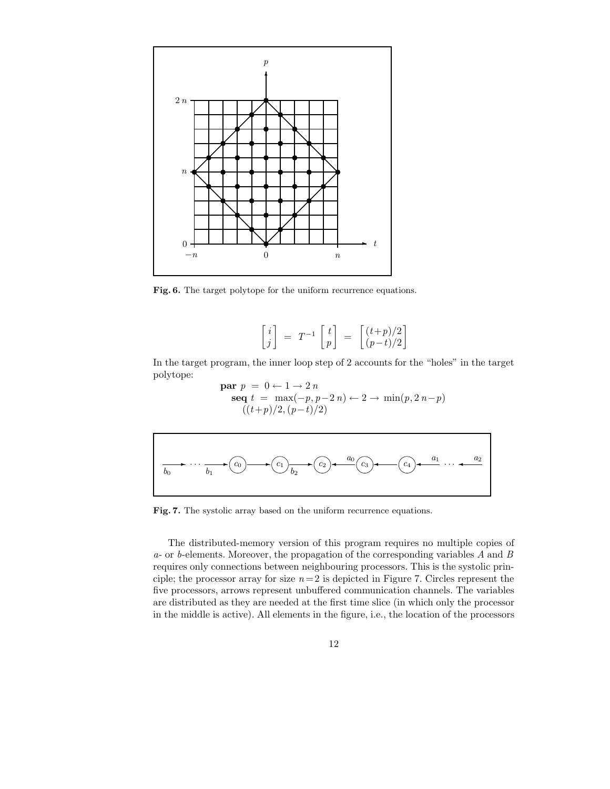

Fig. 6. The target polytope for the uniform recurrence equations.

$$
\begin{bmatrix} i \\ j \end{bmatrix} \;=\; T^{-1} \, \begin{bmatrix} t \\ p \end{bmatrix} \;=\; \begin{bmatrix} (t+p)/2 \\ (p-t)/2 \end{bmatrix}
$$

In the target program, the inner loop step of 2 accounts for the "holes" in the target polytope:

$$
\begin{array}{l}\n\mathbf{par} \ p = 0 \leftarrow 1 \rightarrow 2 \, n \\
\mathbf{seq} \ t = \max(-p, p-2 \, n) \leftarrow 2 \rightarrow \min(p, 2 \, n-p) \\
\quad \left((t+p)/2, (p-t)/2\right)\n\end{array}
$$



Fig. 7. The systolic array based on the uniform recurrence equations.

The distributed-memory version of this program requires no multiple copies of a- or b-elements. Moreover, the propagation of the corresponding variables A and B requires only connections between neighbouring processors. This is the systolic principle; the processor array for size  $n = 2$  is depicted in Figure 7. Circles represent the five processors, arrows represent unbuffered communication channels. The variables are distributed as they are needed at the first time slice (in which only the processor in the middle is active). All elements in the figure, i.e., the location of the processors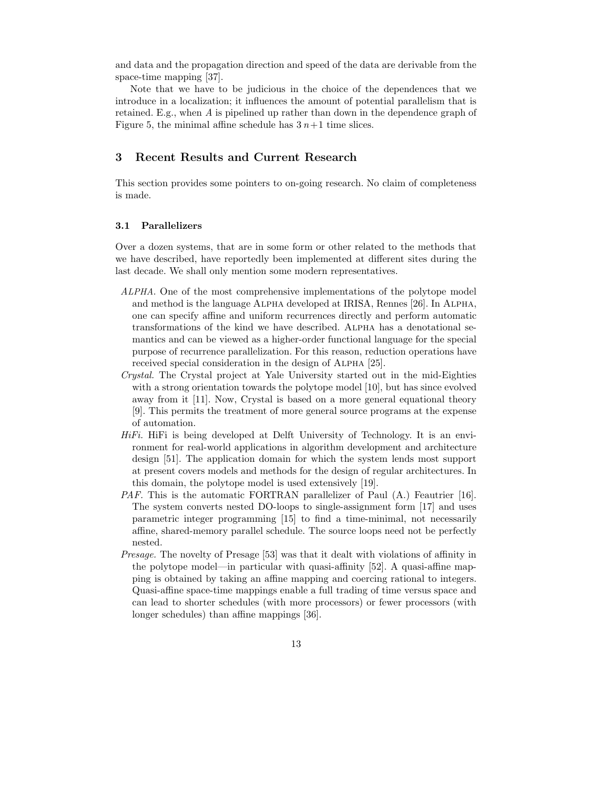and data and the propagation direction and speed of the data are derivable from the space-time mapping [37].

Note that we have to be judicious in the choice of the dependences that we introduce in a localization; it influences the amount of potential parallelism that is retained. E.g., when A is pipelined up rather than down in the dependence graph of Figure 5, the minimal affine schedule has  $3 n+1$  time slices.

## 3 Recent Results and Current Research

This section provides some pointers to on-going research. No claim of completeness is made.

#### 3.1 Parallelizers

Over a dozen systems, that are in some form or other related to the methods that we have described, have reportedly been implemented at different sites during the last decade. We shall only mention some modern representatives.

- ALPHA. One of the most comprehensive implementations of the polytope model and method is the language Alpha developed at IRISA, Rennes [26]. In Alpha, one can specify affine and uniform recurrences directly and perform automatic transformations of the kind we have described. Alpha has a denotational semantics and can be viewed as a higher-order functional language for the special purpose of recurrence parallelization. For this reason, reduction operations have received special consideration in the design of ALPHA [25].
- Crystal. The Crystal project at Yale University started out in the mid-Eighties with a strong orientation towards the polytope model [10], but has since evolved away from it [11]. Now, Crystal is based on a more general equational theory [9]. This permits the treatment of more general source programs at the expense of automation.
- $HiFi$ . HiFi is being developed at Delft University of Technology. It is an environment for real-world applications in algorithm development and architecture design [51]. The application domain for which the system lends most support at present covers models and methods for the design of regular architectures. In this domain, the polytope model is used extensively [19].
- PAF. This is the automatic FORTRAN parallelizer of Paul (A.) Feautrier [16]. The system converts nested DO-loops to single-assignment form [17] and uses parametric integer programming [15] to find a time-minimal, not necessarily affine, shared-memory parallel schedule. The source loops need not be perfectly nested.
- Presage. The novelty of Presage [53] was that it dealt with violations of affinity in the polytope model—in particular with quasi-affinity [52]. A quasi-affine mapping is obtained by taking an affine mapping and coercing rational to integers. Quasi-affine space-time mappings enable a full trading of time versus space and can lead to shorter schedules (with more processors) or fewer processors (with longer schedules) than affine mappings [36].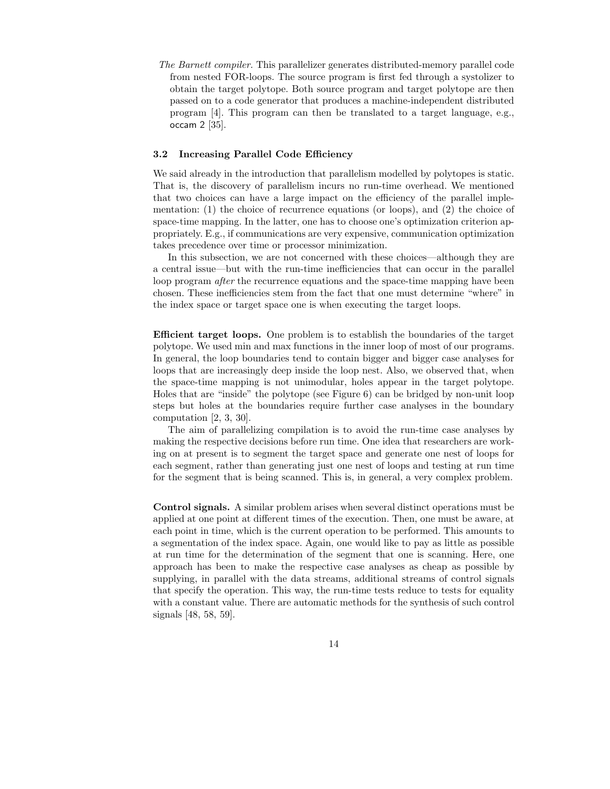The Barnett compiler. This parallelizer generates distributed-memory parallel code from nested FOR-loops. The source program is first fed through a systolizer to obtain the target polytope. Both source program and target polytope are then passed on to a code generator that produces a machine-independent distributed program  $[4]$ . This program can then be translated to a target language, e.g., occam 2 [35].

#### 3.2 Increasing Parallel Code Efficiency

We said already in the introduction that parallelism modelled by polytopes is static. That is, the discovery of parallelism incurs no run-time overhead. We mentioned that two choices can have a large impact on the efficiency of the parallel implementation: (1) the choice of recurrence equations (or loops), and (2) the choice of space-time mapping. In the latter, one has to choose one's optimization criterion appropriately. E.g., if communications are very expensive, communication optimization takes precedence over time or processor minimization.

In this subsection, we are not concerned with these choices—although they are a central issue—but with the run-time inefficiencies that can occur in the parallel loop program *after* the recurrence equations and the space-time mapping have been chosen. These inefficiencies stem from the fact that one must determine "where" in the index space or target space one is when executing the target loops.

Efficient target loops. One problem is to establish the boundaries of the target polytope. We used min and max functions in the inner loop of most of our programs. In general, the loop boundaries tend to contain bigger and bigger case analyses for loops that are increasingly deep inside the loop nest. Also, we observed that, when the space-time mapping is not unimodular, holes appear in the target polytope. Holes that are "inside" the polytope (see Figure 6) can be bridged by non-unit loop steps but holes at the boundaries require further case analyses in the boundary computation [2, 3, 30].

The aim of parallelizing compilation is to avoid the run-time case analyses by making the respective decisions before run time. One idea that researchers are working on at present is to segment the target space and generate one nest of loops for each segment, rather than generating just one nest of loops and testing at run time for the segment that is being scanned. This is, in general, a very complex problem.

Control signals. A similar problem arises when several distinct operations must be applied at one point at different times of the execution. Then, one must be aware, at each point in time, which is the current operation to be performed. This amounts to a segmentation of the index space. Again, one would like to pay as little as possible at run time for the determination of the segment that one is scanning. Here, one approach has been to make the respective case analyses as cheap as possible by supplying, in parallel with the data streams, additional streams of control signals that specify the operation. This way, the run-time tests reduce to tests for equality with a constant value. There are automatic methods for the synthesis of such control signals [48, 58, 59].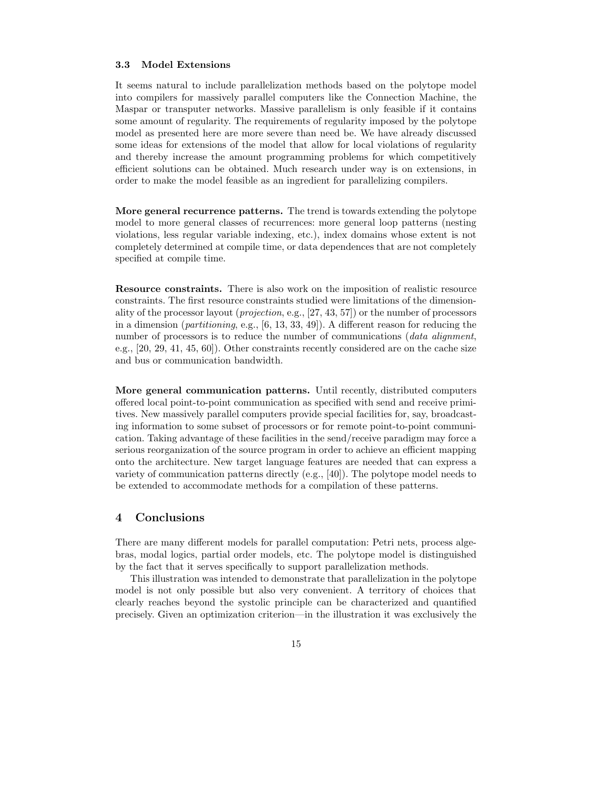#### 3.3 Model Extensions

It seems natural to include parallelization methods based on the polytope model into compilers for massively parallel computers like the Connection Machine, the Maspar or transputer networks. Massive parallelism is only feasible if it contains some amount of regularity. The requirements of regularity imposed by the polytope model as presented here are more severe than need be. We have already discussed some ideas for extensions of the model that allow for local violations of regularity and thereby increase the amount programming problems for which competitively efficient solutions can be obtained. Much research under way is on extensions, in order to make the model feasible as an ingredient for parallelizing compilers.

More general recurrence patterns. The trend is towards extending the polytope model to more general classes of recurrences: more general loop patterns (nesting violations, less regular variable indexing, etc.), index domains whose extent is not completely determined at compile time, or data dependences that are not completely specified at compile time.

Resource constraints. There is also work on the imposition of realistic resource constraints. The first resource constraints studied were limitations of the dimensionality of the processor layout (projection, e.g., [27, 43, 57]) or the number of processors in a dimension (*partitioning*, e.g.,  $[6, 13, 33, 49]$ ). A different reason for reducing the number of processors is to reduce the number of communications (*data alignment*, e.g., [20, 29, 41, 45, 60]). Other constraints recently considered are on the cache size and bus or communication bandwidth.

More general communication patterns. Until recently, distributed computers offered local point-to-point communication as specified with send and receive primitives. New massively parallel computers provide special facilities for, say, broadcasting information to some subset of processors or for remote point-to-point communication. Taking advantage of these facilities in the send/receive paradigm may force a serious reorganization of the source program in order to achieve an efficient mapping onto the architecture. New target language features are needed that can express a variety of communication patterns directly (e.g., [40]). The polytope model needs to be extended to accommodate methods for a compilation of these patterns.

## 4 Conclusions

There are many different models for parallel computation: Petri nets, process algebras, modal logics, partial order models, etc. The polytope model is distinguished by the fact that it serves specifically to support parallelization methods.

This illustration was intended to demonstrate that parallelization in the polytope model is not only possible but also very convenient. A territory of choices that clearly reaches beyond the systolic principle can be characterized and quantified precisely. Given an optimization criterion—in the illustration it was exclusively the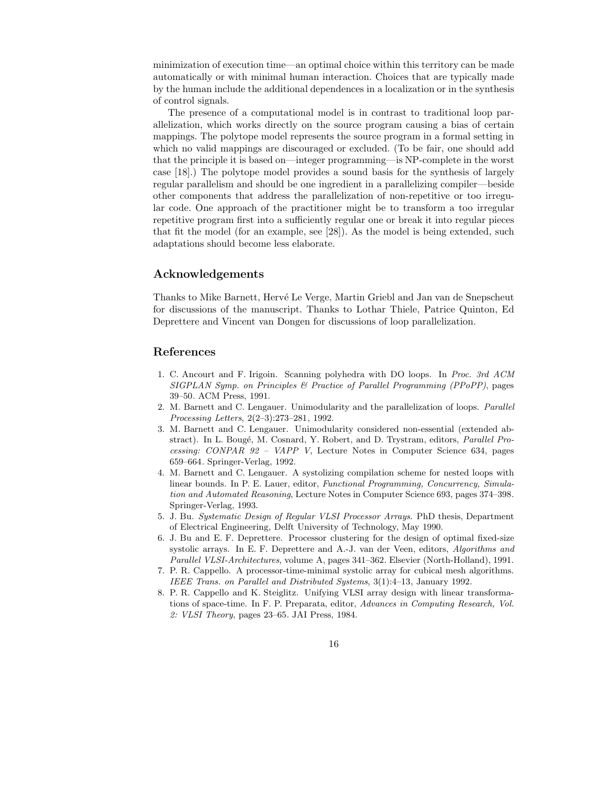minimization of execution time—an optimal choice within this territory can be made automatically or with minimal human interaction. Choices that are typically made by the human include the additional dependences in a localization or in the synthesis of control signals.

The presence of a computational model is in contrast to traditional loop parallelization, which works directly on the source program causing a bias of certain mappings. The polytope model represents the source program in a formal setting in which no valid mappings are discouraged or excluded. (To be fair, one should add that the principle it is based on—integer programming—is NP-complete in the worst case [18].) The polytope model provides a sound basis for the synthesis of largely regular parallelism and should be one ingredient in a parallelizing compiler—beside other components that address the parallelization of non-repetitive or too irregular code. One approach of the practitioner might be to transform a too irregular repetitive program first into a sufficiently regular one or break it into regular pieces that fit the model (for an example, see [28]). As the model is being extended, such adaptations should become less elaborate.

## Acknowledgements

Thanks to Mike Barnett, Herv´e Le Verge, Martin Griebl and Jan van de Snepscheut for discussions of the manuscript. Thanks to Lothar Thiele, Patrice Quinton, Ed Deprettere and Vincent van Dongen for discussions of loop parallelization.

## References

- 1. C. Ancourt and F. Irigoin. Scanning polyhedra with DO loops. In Proc. 3rd ACM SIGPLAN Symp. on Principles & Practice of Parallel Programming (PPoPP), pages 39–50. ACM Press, 1991.
- 2. M. Barnett and C. Lengauer. Unimodularity and the parallelization of loops. Parallel Processing Letters, 2(2–3):273–281, 1992.
- 3. M. Barnett and C. Lengauer. Unimodularity considered non-essential (extended abstract). In L. Bougé, M. Cosnard, Y. Robert, and D. Trystram, editors, *Parallel Pro*cessing: CONPAR 92 – VAPP V, Lecture Notes in Computer Science 634, pages 659–664. Springer-Verlag, 1992.
- 4. M. Barnett and C. Lengauer. A systolizing compilation scheme for nested loops with linear bounds. In P. E. Lauer, editor, Functional Programming, Concurrency, Simulation and Automated Reasoning, Lecture Notes in Computer Science 693, pages 374–398. Springer-Verlag, 1993.
- 5. J. Bu. Systematic Design of Regular VLSI Processor Arrays. PhD thesis, Department of Electrical Engineering, Delft University of Technology, May 1990.
- 6. J. Bu and E. F. Deprettere. Processor clustering for the design of optimal fixed-size systolic arrays. In E. F. Deprettere and A.-J. van der Veen, editors, Algorithms and Parallel VLSI-Architectures, volume A, pages 341–362. Elsevier (North-Holland), 1991.
- 7. P. R. Cappello. A processor-time-minimal systolic array for cubical mesh algorithms. IEEE Trans. on Parallel and Distributed Systems, 3(1):4–13, January 1992.
- 8. P. R. Cappello and K. Steiglitz. Unifying VLSI array design with linear transformations of space-time. In F. P. Preparata, editor, Advances in Computing Research, Vol. 2: *VLSI Theory*, pages 23–65. JAI Press, 1984.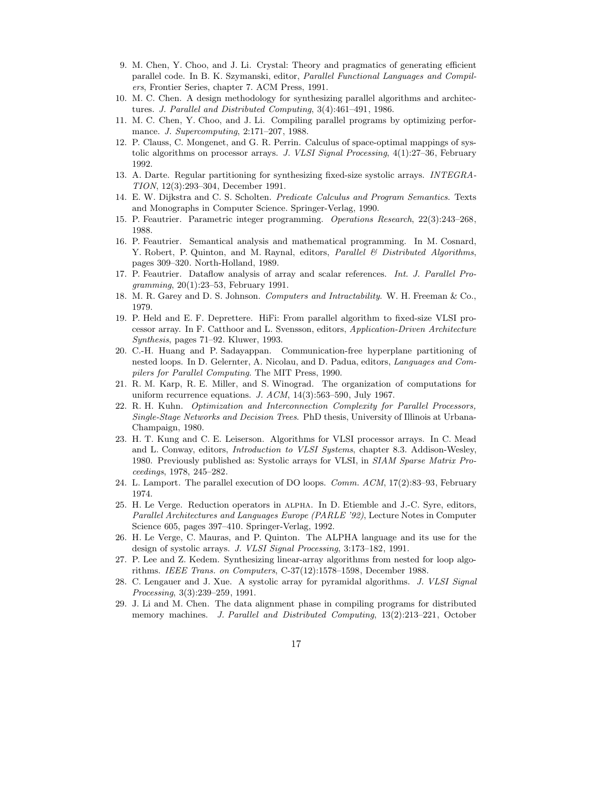- 9. M. Chen, Y. Choo, and J. Li. Crystal: Theory and pragmatics of generating efficient parallel code. In B. K. Szymanski, editor, Parallel Functional Languages and Compilers, Frontier Series, chapter 7. ACM Press, 1991.
- 10. M. C. Chen. A design methodology for synthesizing parallel algorithms and architectures. J. Parallel and Distributed Computing, 3(4):461–491, 1986.
- 11. M. C. Chen, Y. Choo, and J. Li. Compiling parallel programs by optimizing performance. *J. Supercomputing*, 2:171-207, 1988.
- 12. P. Clauss, C. Mongenet, and G. R. Perrin. Calculus of space-optimal mappings of systolic algorithms on processor arrays. J. VLSI Signal Processing, 4(1):27-36, February 1992.
- 13. A. Darte. Regular partitioning for synthesizing fixed-size systolic arrays. INTEGRA-TION, 12(3):293–304, December 1991.
- 14. E. W. Dijkstra and C. S. Scholten. Predicate Calculus and Program Semantics. Texts and Monographs in Computer Science. Springer-Verlag, 1990.
- 15. P. Feautrier. Parametric integer programming. Operations Research, 22(3):243–268, 1988.
- 16. P. Feautrier. Semantical analysis and mathematical programming. In M. Cosnard, Y. Robert, P. Quinton, and M. Raynal, editors, *Parallel & Distributed Algorithms*, pages 309–320. North-Holland, 1989.
- 17. P. Feautrier. Dataflow analysis of array and scalar references. Int. J. Parallel Programming, 20(1):23–53, February 1991.
- 18. M. R. Garey and D. S. Johnson. Computers and Intractability. W. H. Freeman & Co., 1979.
- 19. P. Held and E. F. Deprettere. HiFi: From parallel algorithm to fixed-size VLSI processor array. In F. Catthoor and L. Svensson, editors, Application-Driven Architecture Synthesis, pages 71–92. Kluwer, 1993.
- 20. C.-H. Huang and P. Sadayappan. Communication-free hyperplane partitioning of nested loops. In D. Gelernter, A. Nicolau, and D. Padua, editors, Languages and Compilers for Parallel Computing. The MIT Press, 1990.
- 21. R. M. Karp, R. E. Miller, and S. Winograd. The organization of computations for uniform recurrence equations. J.  $ACM$ ,  $14(3):563-590$ , July 1967.
- 22. R. H. Kuhn. Optimization and Interconnection Complexity for Parallel Processors, Single-Stage Networks and Decision Trees. PhD thesis, University of Illinois at Urbana-Champaign, 1980.
- 23. H. T. Kung and C. E. Leiserson. Algorithms for VLSI processor arrays. In C. Mead and L. Conway, editors, Introduction to VLSI Systems, chapter 8.3. Addison-Wesley, 1980. Previously published as: Systolic arrays for VLSI, in SIAM Sparse Matrix Proceedings, 1978, 245–282.
- 24. L. Lamport. The parallel execution of DO loops. Comm. ACM, 17(2):83–93, February 1974.
- 25. H. Le Verge. Reduction operators in alpha. In D. Etiemble and J.-C. Syre, editors, Parallel Architectures and Languages Europe (PARLE '92), Lecture Notes in Computer Science 605, pages 397–410. Springer-Verlag, 1992.
- 26. H. Le Verge, C. Mauras, and P. Quinton. The ALPHA language and its use for the design of systolic arrays. J. VLSI Signal Processing, 3:173–182, 1991.
- 27. P. Lee and Z. Kedem. Synthesizing linear-array algorithms from nested for loop algorithms. IEEE Trans. on Computers, C-37(12):1578–1598, December 1988.
- 28. C. Lengauer and J. Xue. A systolic array for pyramidal algorithms. J. VLSI Signal Processing, 3(3):239–259, 1991.
- 29. J. Li and M. Chen. The data alignment phase in compiling programs for distributed memory machines. J. Parallel and Distributed Computing, 13(2):213–221, October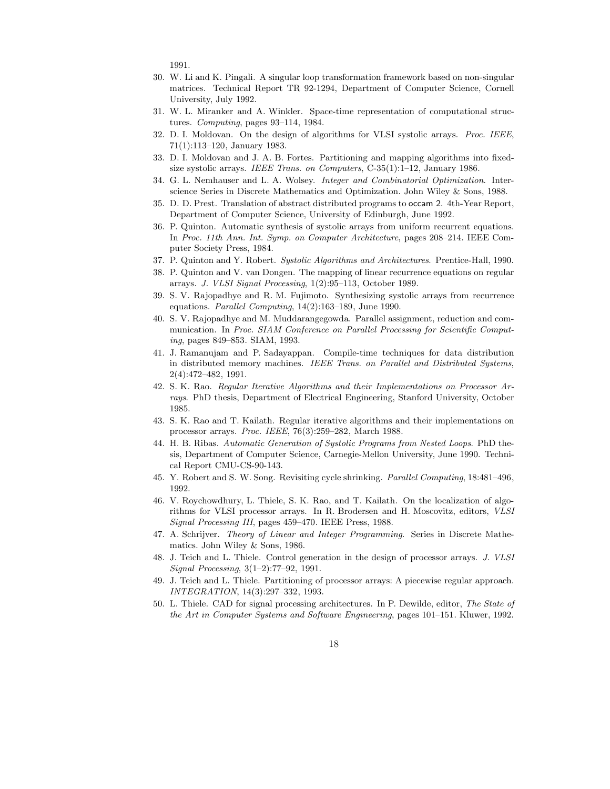1991.

- 30. W. Li and K. Pingali. A singular loop transformation framework based on non-singular matrices. Technical Report TR 92-1294, Department of Computer Science, Cornell University, July 1992.
- 31. W. L. Miranker and A. Winkler. Space-time representation of computational structures. Computing, pages 93–114, 1984.
- 32. D. I. Moldovan. On the design of algorithms for VLSI systolic arrays. Proc. IEEE, 71(1):113–120, January 1983.
- 33. D. I. Moldovan and J. A. B. Fortes. Partitioning and mapping algorithms into fixedsize systolic arrays. IEEE Trans. on Computers, C-35(1):1–12, January 1986.
- 34. G. L. Nemhauser and L. A. Wolsey. Integer and Combinatorial Optimization. Interscience Series in Discrete Mathematics and Optimization. John Wiley & Sons, 1988.
- 35. D. D. Prest. Translation of abstract distributed programs to occam 2. 4th-Year Report, Department of Computer Science, University of Edinburgh, June 1992.
- 36. P. Quinton. Automatic synthesis of systolic arrays from uniform recurrent equations. In Proc. 11th Ann. Int. Symp. on Computer Architecture, pages 208–214. IEEE Computer Society Press, 1984.
- 37. P. Quinton and Y. Robert. Systolic Algorithms and Architectures. Prentice-Hall, 1990.
- 38. P. Quinton and V. van Dongen. The mapping of linear recurrence equations on regular arrays. J. VLSI Signal Processing, 1(2):95–113, October 1989.
- 39. S. V. Rajopadhye and R. M. Fujimoto. Synthesizing systolic arrays from recurrence equations. Parallel Computing, 14(2):163–189, June 1990.
- 40. S. V. Rajopadhye and M. Muddarangegowda. Parallel assignment, reduction and communication. In Proc. SIAM Conference on Parallel Processing for Scientific Computing, pages 849–853. SIAM, 1993.
- 41. J. Ramanujam and P. Sadayappan. Compile-time techniques for data distribution in distributed memory machines. IEEE Trans. on Parallel and Distributed Systems, 2(4):472–482, 1991.
- 42. S. K. Rao. Regular Iterative Algorithms and their Implementations on Processor Arrays. PhD thesis, Department of Electrical Engineering, Stanford University, October 1985.
- 43. S. K. Rao and T. Kailath. Regular iterative algorithms and their implementations on processor arrays. Proc. IEEE, 76(3):259–282, March 1988.
- 44. H. B. Ribas. Automatic Generation of Systolic Programs from Nested Loops. PhD thesis, Department of Computer Science, Carnegie-Mellon University, June 1990. Technical Report CMU-CS-90-143.
- 45. Y. Robert and S. W. Song. Revisiting cycle shrinking. Parallel Computing, 18:481–496, 1992.
- 46. V. Roychowdhury, L. Thiele, S. K. Rao, and T. Kailath. On the localization of algorithms for VLSI processor arrays. In R. Brodersen and H. Moscovitz, editors, VLSI Signal Processing III, pages 459–470. IEEE Press, 1988.
- 47. A. Schrijver. Theory of Linear and Integer Programming. Series in Discrete Mathematics. John Wiley & Sons, 1986.
- 48. J. Teich and L. Thiele. Control generation in the design of processor arrays. J. VLSI Signal Processing, 3(1–2):77–92, 1991.
- 49. J. Teich and L. Thiele. Partitioning of processor arrays: A piecewise regular approach. INTEGRATION, 14(3):297–332, 1993.
- 50. L. Thiele. CAD for signal processing architectures. In P. Dewilde, editor, The State of the Art in Computer Systems and Software Engineering, pages 101–151. Kluwer, 1992.